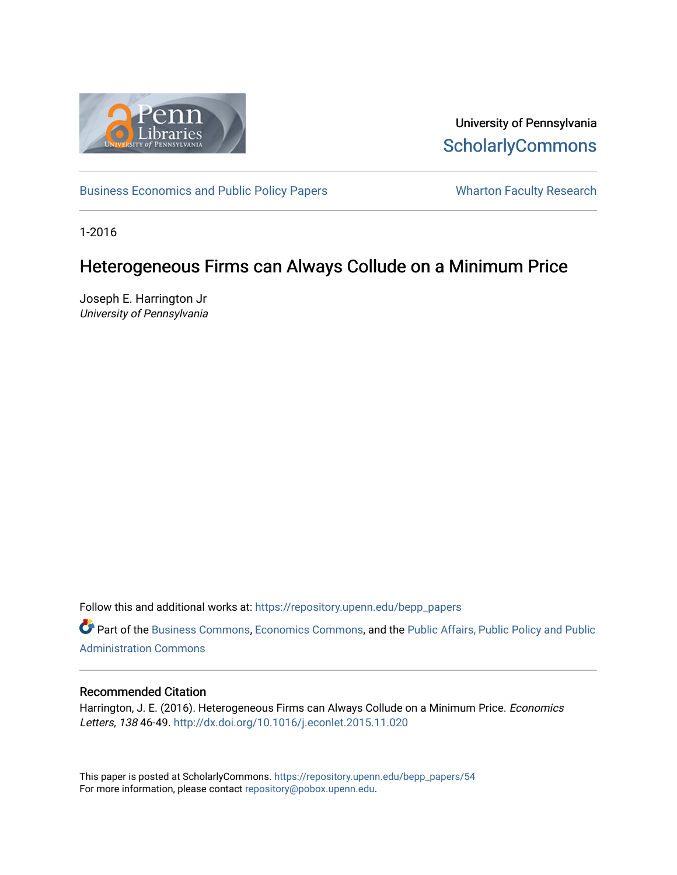

University of Pennsylvania **ScholarlyCommons** 

[Business Economics and Public Policy Papers](https://repository.upenn.edu/bepp_papers) Wharton Faculty Research

1-2016

## Heterogeneous Firms can Always Collude on a Minimum Price

Joseph E. Harrington Jr University of Pennsylvania

Follow this and additional works at: [https://repository.upenn.edu/bepp\\_papers](https://repository.upenn.edu/bepp_papers?utm_source=repository.upenn.edu%2Fbepp_papers%2F54&utm_medium=PDF&utm_campaign=PDFCoverPages) 

Part of the [Business Commons](http://network.bepress.com/hgg/discipline/622?utm_source=repository.upenn.edu%2Fbepp_papers%2F54&utm_medium=PDF&utm_campaign=PDFCoverPages), [Economics Commons,](http://network.bepress.com/hgg/discipline/340?utm_source=repository.upenn.edu%2Fbepp_papers%2F54&utm_medium=PDF&utm_campaign=PDFCoverPages) and the [Public Affairs, Public Policy and Public](http://network.bepress.com/hgg/discipline/393?utm_source=repository.upenn.edu%2Fbepp_papers%2F54&utm_medium=PDF&utm_campaign=PDFCoverPages)  [Administration Commons](http://network.bepress.com/hgg/discipline/393?utm_source=repository.upenn.edu%2Fbepp_papers%2F54&utm_medium=PDF&utm_campaign=PDFCoverPages) 

### Recommended Citation

Harrington, J. E. (2016). Heterogeneous Firms can Always Collude on a Minimum Price. Economics Letters, 138 46-49.<http://dx.doi.org/10.1016/j.econlet.2015.11.020>

This paper is posted at ScholarlyCommons. [https://repository.upenn.edu/bepp\\_papers/54](https://repository.upenn.edu/bepp_papers/54) For more information, please contact [repository@pobox.upenn.edu.](mailto:repository@pobox.upenn.edu)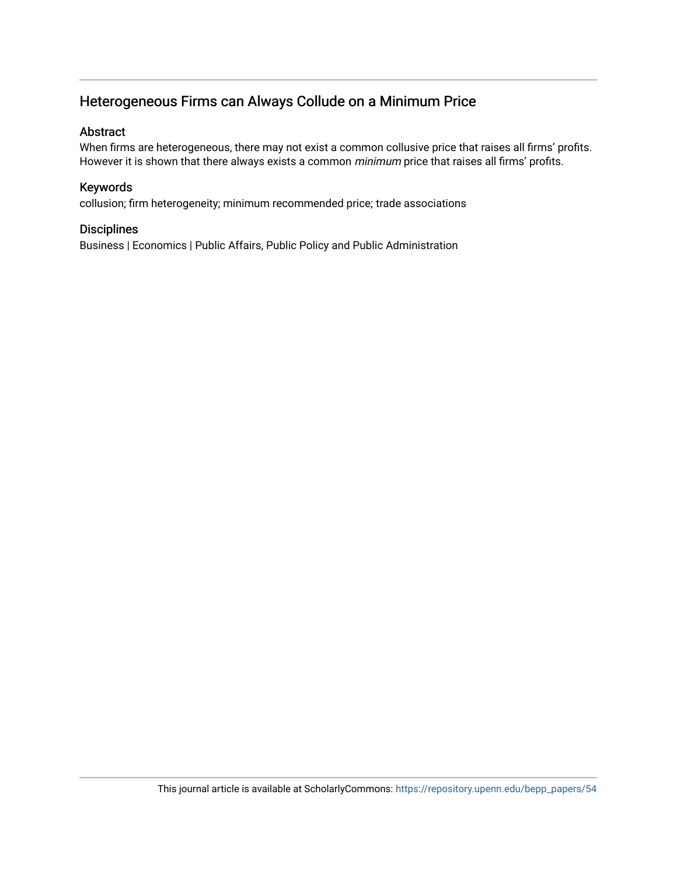## Heterogeneous Firms can Always Collude on a Minimum Price

### Abstract

When firms are heterogeneous, there may not exist a common collusive price that raises all firms' profits. However it is shown that there always exists a common minimum price that raises all firms' profits.

### Keywords

collusion; firm heterogeneity; minimum recommended price; trade associations

### **Disciplines**

Business | Economics | Public Affairs, Public Policy and Public Administration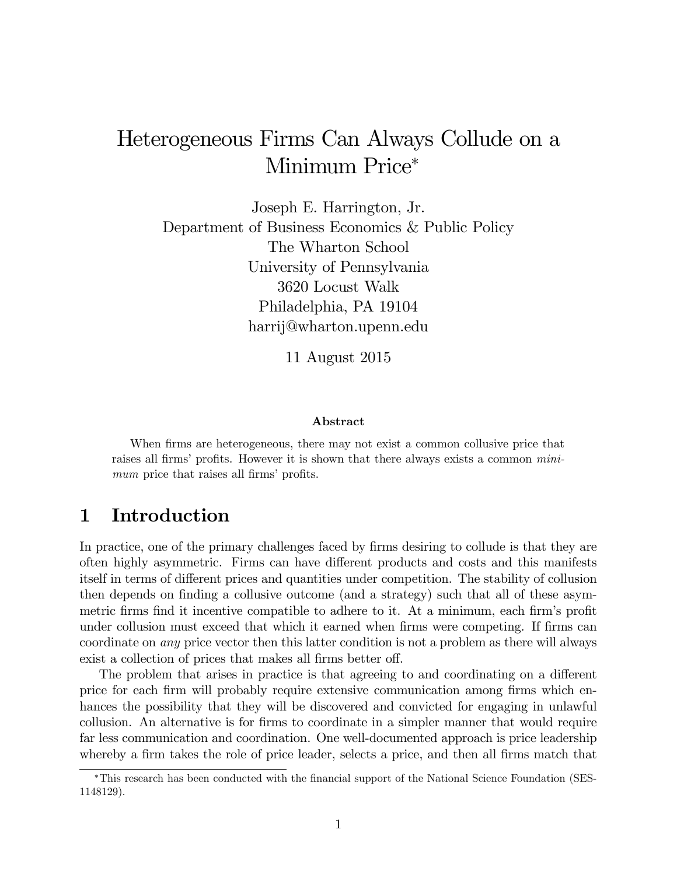# Heterogeneous Firms Can Always Collude on a Minimum Price\*

Joseph E. Harrington, Jr. Department of Business Economics & Public Policy The Wharton School University of Pennsylvania 3620 Locust Walk Philadelphia, PA 19104 harrij@wharton.upenn.edu

11 August 2015

#### Abstract

When firms are heterogeneous, there may not exist a common collusive price that raises all firms' profits. However it is shown that there always exists a common *mini*mum price that raises all firms' profits.

## 1 Introduction

In practice, one of the primary challenges faced by firms desiring to collude is that they are often highly asymmetric. Firms can have different products and costs and this manifests itself in terms of different prices and quantities under competition. The stability of collusion then depends on finding a collusive outcome (and a strategy) such that all of these asymmetric firms find it incentive compatible to adhere to it. At a minimum, each firm's profit under collusion must exceed that which it earned when firms were competing. If firms can coordinate on any price vector then this latter condition is not a problem as there will always exist a collection of prices that makes all firms better off.

The problem that arises in practice is that agreeing to and coordinating on a different price for each Örm will probably require extensive communication among Örms which enhances the possibility that they will be discovered and convicted for engaging in unlawful collusion. An alternative is for firms to coordinate in a simpler manner that would require far less communication and coordination. One well-documented approach is price leadership whereby a firm takes the role of price leader, selects a price, and then all firms match that

<sup>\*</sup>This research has been conducted with the financial support of the National Science Foundation (SES-1148129).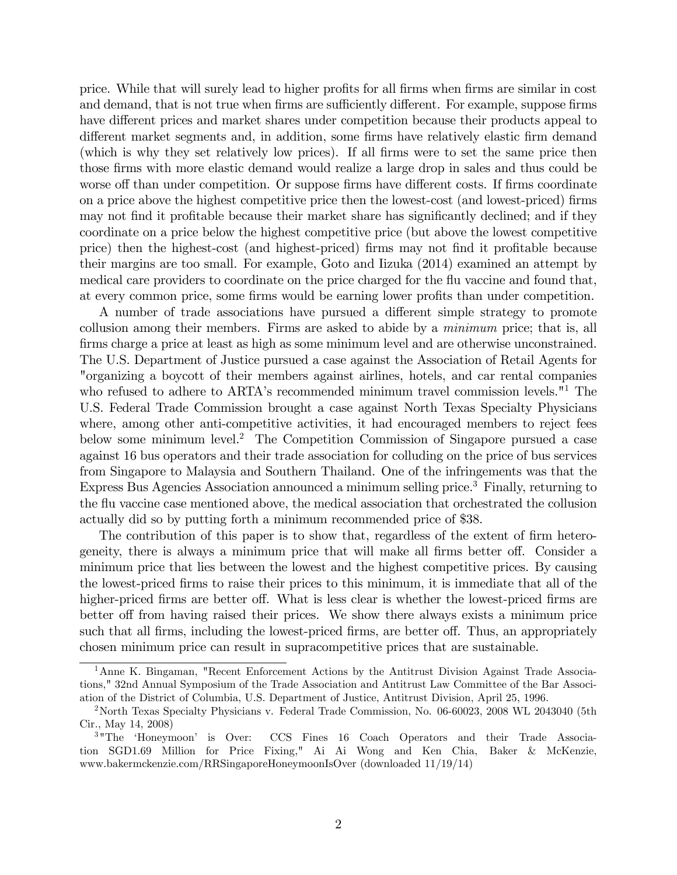price. While that will surely lead to higher profits for all firms when firms are similar in cost and demand, that is not true when firms are sufficiently different. For example, suppose firms have different prices and market shares under competition because their products appeal to different market segments and, in addition, some firms have relatively elastic firm demand (which is why they set relatively low prices). If all firms were to set the same price then those firms with more elastic demand would realize a large drop in sales and thus could be worse off than under competition. Or suppose firms have different costs. If firms coordinate on a price above the highest competitive price then the lowest-cost (and lowest-priced) Örms may not find it profitable because their market share has significantly declined; and if they coordinate on a price below the highest competitive price (but above the lowest competitive price) then the highest-cost (and highest-priced) firms may not find it profitable because their margins are too small. For example, Goto and Iizuka (2014) examined an attempt by medical care providers to coordinate on the price charged for the flu vaccine and found that, at every common price, some firms would be earning lower profits than under competition.

A number of trade associations have pursued a different simple strategy to promote collusion among their members. Firms are asked to abide by a minimum price; that is, all firms charge a price at least as high as some minimum level and are otherwise unconstrained. The U.S. Department of Justice pursued a case against the Association of Retail Agents for "organizing a boycott of their members against airlines, hotels, and car rental companies who refused to adhere to ARTA's recommended minimum travel commission levels."<sup>1</sup> The U.S. Federal Trade Commission brought a case against North Texas Specialty Physicians where, among other anti-competitive activities, it had encouraged members to reject fees below some minimum level.<sup>2</sup> The Competition Commission of Singapore pursued a case against 16 bus operators and their trade association for colluding on the price of bus services from Singapore to Malaysia and Southern Thailand. One of the infringements was that the Express Bus Agencies Association announced a minimum selling price.<sup>3</sup> Finally, returning to the flu vaccine case mentioned above, the medical association that orchestrated the collusion actually did so by putting forth a minimum recommended price of \$38.

The contribution of this paper is to show that, regardless of the extent of firm heterogeneity, there is always a minimum price that will make all firms better off. Consider a minimum price that lies between the lowest and the highest competitive prices. By causing the lowest-priced Örms to raise their prices to this minimum, it is immediate that all of the higher-priced firms are better off. What is less clear is whether the lowest-priced firms are better off from having raised their prices. We show there always exists a minimum price such that all firms, including the lowest-priced firms, are better off. Thus, an appropriately chosen minimum price can result in supracompetitive prices that are sustainable.

<sup>&</sup>lt;sup>1</sup>Anne K. Bingaman, "Recent Enforcement Actions by the Antitrust Division Against Trade Associations," 32nd Annual Symposium of the Trade Association and Antitrust Law Committee of the Bar Association of the District of Columbia, U.S. Department of Justice, Antitrust Division, April 25, 1996.

<sup>2</sup>North Texas Specialty Physicians v. Federal Trade Commission, No. 06-60023, 2008 WL 2043040 (5th Cir., May 14, 2008)

<sup>&</sup>lt;sup>3</sup> "The 'Honeymoon' is Over: CCS Fines 16 Coach Operators and their Trade Association SGD1.69 Million for Price Fixing," Ai Ai Wong and Ken Chia, Baker & McKenzie, www.bakermckenzie.com/RRSingaporeHoneymoonIsOver (downloaded 11/19/14)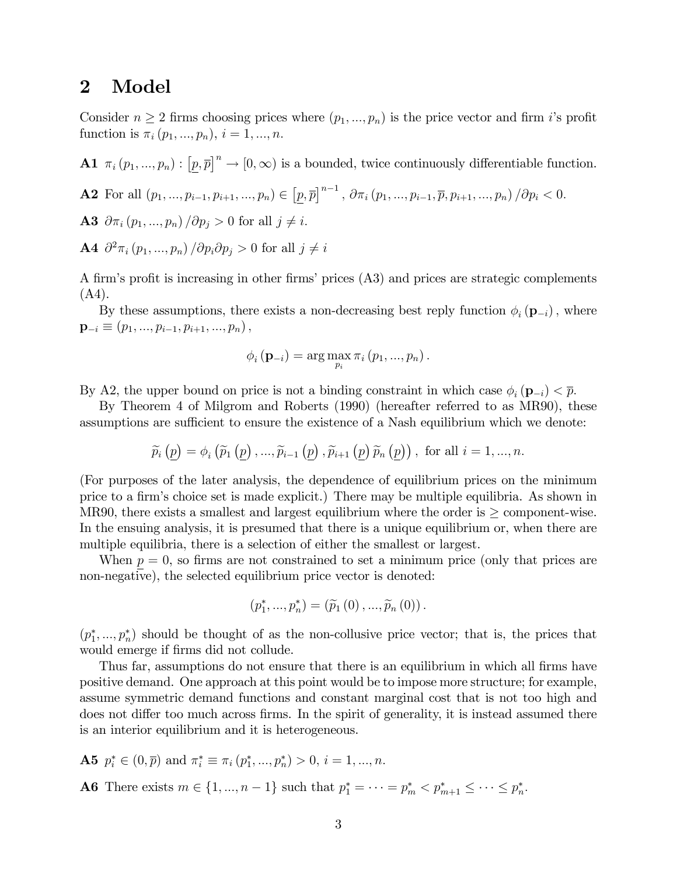### 2 Model

Consider  $n \geq 2$  firms choosing prices where  $(p_1, ..., p_n)$  is the price vector and firm is profit function is  $\pi_i (p_1, ..., p_n), i = 1, ..., n$ .

**A1**  $\pi_i (p_1, ..., p_n) : [p, \overline{p}]^n \to [0, \infty)$  is a bounded, twice continuously differentiable function.

**A2** For all 
$$
(p_1, ..., p_{i-1}, p_{i+1}, ..., p_n) \in [\underline{p}, \overline{p}]^{n-1}
$$
,  $\partial \pi_i (p_1, ..., p_{i-1}, \overline{p}, p_{i+1}, ..., p_n) / \partial p_i < 0$ .

**A3**  $\partial \pi_i (p_1, ..., p_n) / \partial p_i > 0$  for all  $j \neq i$ .

**A4**  $\partial^2 \pi_i (p_1, ..., p_n) / \partial p_i \partial p_j > 0$  for all  $j \neq i$ 

A firm's profit is increasing in other firms' prices (A3) and prices are strategic complements (A4).

By these assumptions, there exists a non-decreasing best reply function  $\phi_i(\mathbf{p}_{-i})$ , where  $\mathbf{p}_{-i} \equiv (p_1, ..., p_{i-1}, p_{i+1}, ..., p_n),$ 

$$
\phi_i\left(\mathbf{p}_{-i}\right)=\arg\max_{p_i}\pi_i\left(p_1,...,p_n\right).
$$

By A2, the upper bound on price is not a binding constraint in which case  $\phi_i(\mathbf{p}_{-i}) < \overline{p}$ .

By Theorem 4 of Milgrom and Roberts (1990) (hereafter referred to as MR90), these assumptions are sufficient to ensure the existence of a Nash equilibrium which we denote:

$$
\widetilde{p}_i(\underline{p}) = \phi_i(\widetilde{p}_1(\underline{p}),...,\widetilde{p}_{i-1}(\underline{p}),\widetilde{p}_{i+1}(\underline{p})\widetilde{p}_n(\underline{p}))
$$
, for all  $i = 1,...,n$ .

(For purposes of the later analysis, the dependence of equilibrium prices on the minimum price to a firm's choice set is made explicit.) There may be multiple equilibria. As shown in MR90, there exists a smallest and largest equilibrium where the order is  $\geq$  component-wise. In the ensuing analysis, it is presumed that there is a unique equilibrium or, when there are multiple equilibria, there is a selection of either the smallest or largest.

When  $p = 0$ , so firms are not constrained to set a minimum price (only that prices are non-negative), the selected equilibrium price vector is denoted:

$$
(p_1^*,...,p_n^*) = (\widetilde{p}_1(0),...,\widetilde{p}_n(0)).
$$

 $(p_1^*,...,p_n^*)$  should be thought of as the non-collusive price vector; that is, the prices that would emerge if firms did not collude.

Thus far, assumptions do not ensure that there is an equilibrium in which all firms have positive demand. One approach at this point would be to impose more structure; for example, assume symmetric demand functions and constant marginal cost that is not too high and does not differ too much across firms. In the spirit of generality, it is instead assumed there is an interior equilibrium and it is heterogeneous.

**A5** 
$$
p_i^* \in (0, \overline{p})
$$
 and  $\pi_i^* \equiv \pi_i(p_1^*, ..., p_n^*) > 0, i = 1, ..., n$ .

**A6** There exists  $m \in \{1, ..., n-1\}$  such that  $p_1^* = \cdots = p_m^* < p_{m+1}^* \leq \cdots \leq p_n^*$ .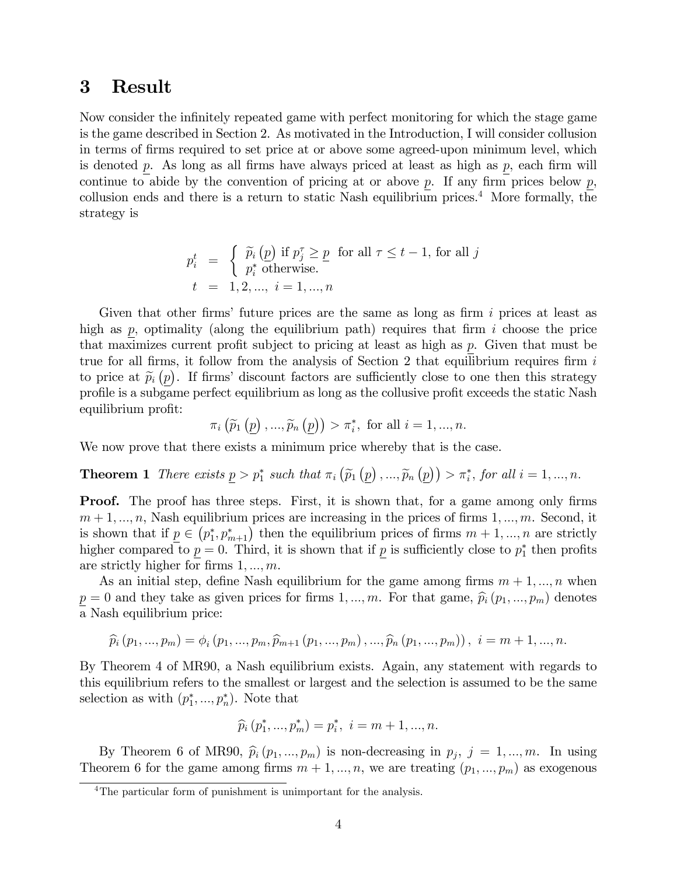## 3 Result

Now consider the infinitely repeated game with perfect monitoring for which the stage game is the game described in Section 2. As motivated in the Introduction, I will consider collusion in terms of firms required to set price at or above some agreed-upon minimum level, which is denoted  $p$ . As long as all firms have always priced at least as high as  $p$ , each firm will continue to abide by the convention of pricing at or above  $p$ . If any firm prices below  $p$ , collusion ends and there is a return to static Nash equilibrium prices.<sup>4</sup> More formally, the strategy is

$$
p_i^t = \begin{cases} \tilde{p}_i \left( \underline{p} \right) \text{ if } p_j^{\tau} \ge \underline{p} \text{ for all } \tau \le t - 1 \text{, for all } j \\ p_i^* \text{ otherwise.} \end{cases}
$$
  

$$
t = 1, 2, ..., i = 1, ..., n
$$

Given that other firms' future prices are the same as long as firm  $i$  prices at least as high as  $p$ , optimality (along the equilibrium path) requires that firm i choose the price that maximizes current profit subject to pricing at least as high as  $p$ . Given that must be true for all firms, it follow from the analysis of Section 2 that equilibrium requires firm  $i$ to price at  $\tilde{p}_i(p)$ . If firms' discount factors are sufficiently close to one then this strategy profile is a subgame perfect equilibrium as long as the collusive profit exceeds the static Nash equilibrium profit:

$$
\pi_i\left(\widetilde{p}_1\left(\underline{p}\right),...,\widetilde{p}_n\left(\underline{p}\right)\right) > \pi_i^*, \text{ for all } i = 1,...,n.
$$

We now prove that there exists a minimum price whereby that is the case.

**Theorem 1** There exists  $\underline{p} > p_1^*$  such that  $\pi_i(\widetilde{p}_1(\underline{p}),...,\widetilde{p}_n(\underline{p})) > \pi_i^*$ , for all  $i = 1,...,n$ .

**Proof.** The proof has three steps. First, it is shown that, for a game among only firms  $m+1, \ldots, n$ , Nash equilibrium prices are increasing in the prices of firms  $1, \ldots, m$ . Second, it is shown that if  $\underline{p} \in (p_1^*, p_{m+1}^*)$  then the equilibrium prices of firms  $m+1, ..., n$  are strictly higher compared to  $\underline{p} = 0$ . Third, it is shown that if  $\underline{p}$  is sufficiently close to  $p_1^*$  then profits are strictly higher for firms  $1, \ldots, m$ .

As an initial step, define Nash equilibrium for the game among firms  $m + 1, ..., n$  when  $p = 0$  and they take as given prices for firms  $1, ..., m$ . For that game,  $\widehat{p}_i (p_1, ..., p_m)$  denotes a Nash equilibrium price:

$$
\widehat{p}_{i}(p_{1},...,p_{m}) = \phi_{i}(p_{1},...,p_{m},\widehat{p}_{m+1}(p_{1},...,p_{m}),...,\widehat{p}_{n}(p_{1},...,p_{m})), i = m+1,...,n.
$$

By Theorem 4 of MR90, a Nash equilibrium exists. Again, any statement with regards to this equilibrium refers to the smallest or largest and the selection is assumed to be the same selection as with  $(p_1^*,...,p_n^*)$ . Note that

$$
\widehat{p}_i (p_1^*, ..., p_m^*) = p_i^*, \ i = m+1, ..., n.
$$

By Theorem 6 of MR90,  $\hat{p}_i(p_1, ..., p_m)$  is non-decreasing in  $p_j$ ,  $j = 1, ..., m$ . In using Theorem 6 for the game among firms  $m + 1, ..., n$ , we are treating  $(p_1, ..., p_m)$  as exogenous

<sup>&</sup>lt;sup>4</sup>The particular form of punishment is unimportant for the analysis.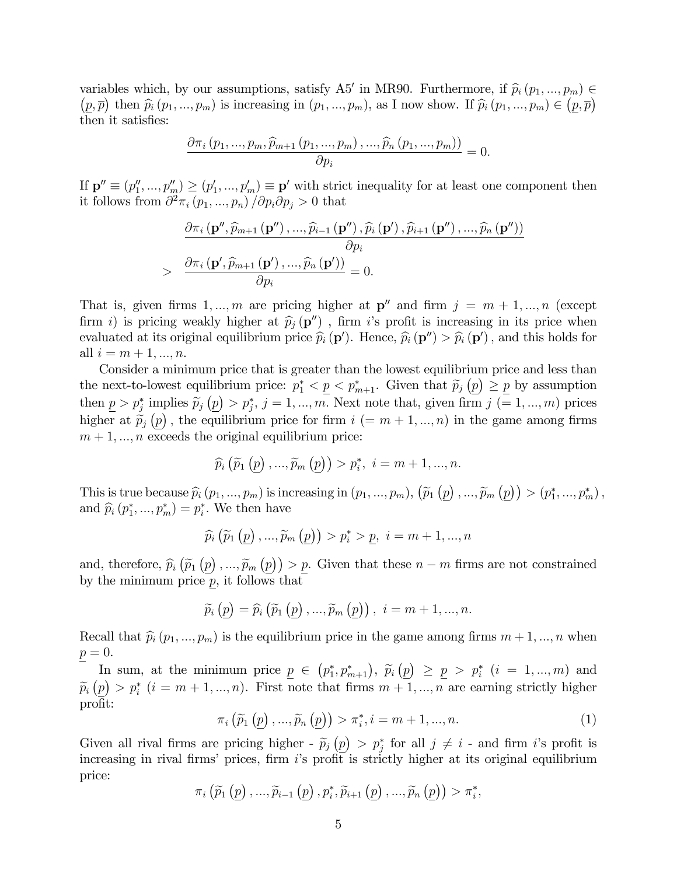variables which, by our assumptions, satisfy A5' in MR90. Furthermore, if  $\hat{p}_i(p_1, ..., p_m) \in$  $(p, \overline{p})$  then  $\widehat{p}_i (p_1, ..., p_m)$  is increasing in  $(p_1, ..., p_m)$ , as I now show. If  $\widehat{p}_i (p_1, ..., p_m) \in (p, \overline{p})$ then it satisfies:

$$
\frac{\partial \pi_i (p_1, ..., p_m, \widehat{p}_{m+1} (p_1, ..., p_m), ..., \widehat{p}_n (p_1, ..., p_m))}{\partial p_i} = 0.
$$

If  $\mathbf{p}'' \equiv (p''_1, ..., p''_m) \ge (p'_1, ..., p'_m) \equiv \mathbf{p}'$  with strict inequality for at least one component then it follows from  $\partial^2 \pi_i (p_1, ..., p_n) / \partial p_i \partial p_j > 0$  that

$$
\frac{\partial\pi_{i}\left(\mathbf{p}'',\widehat{p}_{m+1}\left(\mathbf{p}''\right),...,\widehat{p}_{i-1}\left(\mathbf{p}''\right),\widehat{p}_{i}\left(\mathbf{p}'\right),\widehat{p}_{i+1}\left(\mathbf{p}''\right),...,\widehat{p}_{n}\left(\mathbf{p}''\right)\right)}{\partial p_{i}} \\ > \frac{\partial\pi_{i}\left(\mathbf{p}',\widehat{p}_{m+1}\left(\mathbf{p}'\right),...,\widehat{p}_{n}\left(\mathbf{p}'\right)\right)}{\partial p_{i}} = 0.
$$

That is, given firms  $1, ..., m$  are pricing higher at  $p''$  and firm  $j = m + 1, ..., n$  (except firm *i*) is pricing weakly higher at  $\hat{p}_j(\mathbf{p}'')$ , firm *i*'s profit is increasing in its price when evaluated at its original equilibrium price  $\hat{p}_i (\mathbf{p}')$ . Hence,  $\hat{p}_i (\mathbf{p}'') > \hat{p}_i (\mathbf{p}')$ , and this holds for all  $i = m + 1, ..., n$ .

Consider a minimum price that is greater than the lowest equilibrium price and less than the next-to-lowest equilibrium price:  $p_1^* < p \leq p_{m+1}^*$ . Given that  $\widetilde{p}_j(p) \geq p$  by assumption then  $p > p_j^*$  implies  $\widetilde{p}_j(p) > p_j^*$ ,  $j = 1, ..., m$ . Next note that, given firm  $j \in [1, ..., m)$  prices higher at  $\tilde{p}_j(p)$ , the equilibrium price for firm  $i (= m + 1, ..., n)$  in the game among firms  $m+1, \ldots, n$  exceeds the original equilibrium price:

$$
\widehat{p}_{i}(\widetilde{p}_{1}(p),...,\widetilde{p}_{m}(p)) > p_{i}^{*}, i = m+1,...,n.
$$

This is true because  $\widehat{p}_i(p_1, ..., p_m)$  is increasing in  $(p_1, ..., p_m)$ ,  $(\widetilde{p}_1(p_1), ..., \widetilde{p}_m(p_l)) > (p_1^*, ..., p_m^*)$ , and  $\hat{p}_i (p_1^*, ..., p_m^*) = p_i^*$ . We then have

$$
\widehat{p_i}\left(\widetilde{p_1}\left(\underline{p}\right),...,\widetilde{p_m}\left(\underline{p}\right)\right) > p_i^* > \underline{p}, i = m+1,...,n
$$

and, therefore,  $\hat{p}_i(\tilde{p}_1(\underline{p}),...,\tilde{p}_m(\underline{p})) > \underline{p}$ . Given that these  $n - m$  firms are not constrained by the minimum price  $p$ , it follows that

$$
\widetilde{p}_{i}(\underline{p}) = \widehat{p}_{i}(\widetilde{p}_{1}(\underline{p}),...,\widetilde{p}_{m}(\underline{p})), i = m+1,...,n.
$$

Recall that  $\hat{p}_i$  ( $p_1, ..., p_m$ ) is the equilibrium price in the game among firms  $m + 1, ..., n$  when  $p=0.$ 

In sum, at the minimum price  $\underline{p} \in (p_1^*, p_{m+1}^*), \ \widetilde{p}_i(\underline{p}) \ge \underline{p} > p_i^* \ (i = 1, ..., m)$  and  $\widetilde{p}_i(p) > p_i^*$   $(i = m+1, ..., n)$ . First note that firms  $m+1, ..., n$  are earning strictly higher profit:

$$
\pi_{i}(\widetilde{p}_{1}(p),...,\widetilde{p}_{n}(p)) > \pi_{i}^{*}, i = m+1,...,n.
$$
 (1)

Given all rival firms are pricing higher -  $\tilde{p}_j(p) > p_j^*$  for all  $j \neq i$  - and firm *i*'s profit is increasing in rival firms' prices, firm  $i$ 's profit is strictly higher at its original equilibrium price:

$$
\pi_{i}\left(\widetilde{p}_{1}\left(\underline{p}\right),\ldots,\widetilde{p}_{i-1}\left(\underline{p}\right),p_{i}^{*},\widetilde{p}_{i+1}\left(\underline{p}\right),...,\widetilde{p}_{n}\left(\underline{p}\right)\right)>\pi_{i}^{*},
$$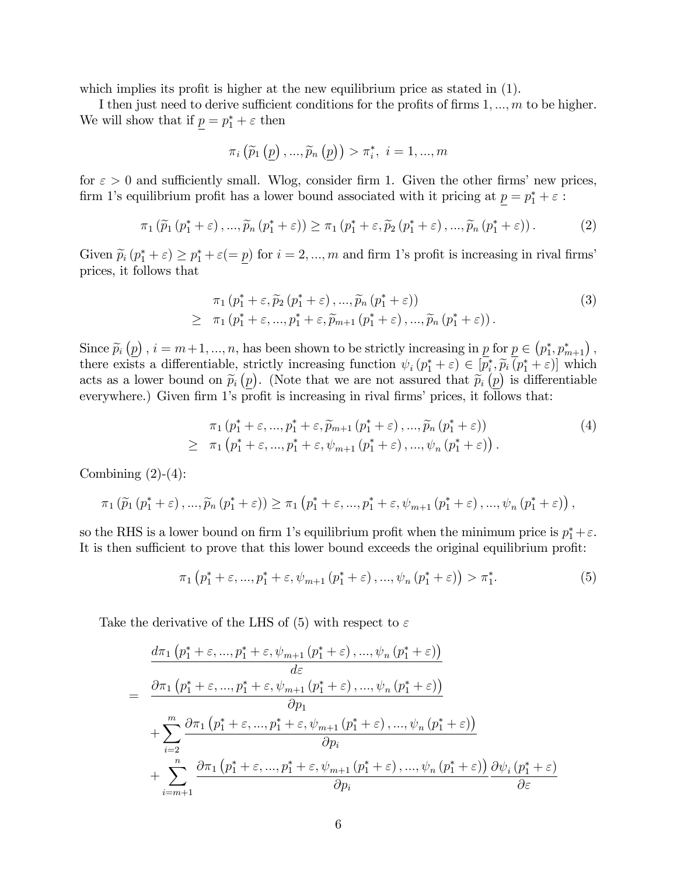which implies its profit is higher at the new equilibrium price as stated in  $(1)$ .

I then just need to derive sufficient conditions for the profits of firms  $1, ..., m$  to be higher. We will show that if  $\underline{p} = p_1^* + \varepsilon$  then

$$
\pi_{i}\left(\widetilde{p}_{1}\left(\underline{p}\right),\ldots,\widetilde{p}_{n}\left(\underline{p}\right)\right)>\pi_{i}^{*}, i=1,...,m
$$

for  $\varepsilon > 0$  and sufficiently small. Wlog, consider firm 1. Given the other firms' new prices, firm 1's equilibrium profit has a lower bound associated with it pricing at  $\underline{p} = p_1^* + \varepsilon$ :

$$
\pi_1(\widetilde{p}_1(p_1^*+\varepsilon),...,\widetilde{p}_n(p_1^*+\varepsilon)) \ge \pi_1(p_1^*+\varepsilon,\widetilde{p}_2(p_1^*+\varepsilon),...,\widetilde{p}_n(p_1^*+\varepsilon)).
$$
\n(2)

Given  $\widetilde{p}_i (p_1^* + \varepsilon) \geq p_1^* + \varepsilon (= p)$  for  $i = 2, ..., m$  and firm 1's profit is increasing in rival firms' prices, it follows that

$$
\pi_1 (p_1^* + \varepsilon, \widetilde{p}_2 (p_1^* + \varepsilon), \dots, \widetilde{p}_n (p_1^* + \varepsilon))
$$
\n
$$
\geq \pi_1 (p_1^* + \varepsilon, \dots, p_1^* + \varepsilon, \widetilde{p}_{m+1} (p_1^* + \varepsilon), \dots, \widetilde{p}_n (p_1^* + \varepsilon)).
$$
\n(3)

Since  $\widetilde{p}_i(p)$ ,  $i = m+1, ..., n$ , has been shown to be strictly increasing in  $p$  for  $p \in (p_1^*, p_{m+1}^*)$ , there exists a differentiable, strictly increasing function  $\psi_i(p_1^* + \varepsilon) \in [p_i^*, \widetilde{p}_i(p_1^* + \varepsilon)]$  which acts as a lower bound on  $\tilde{p}_i(p)$ . (Note that we are not assured that  $\tilde{p}_i(p)$  is differentiable everywhere.) Given firm 1's profit is increasing in rival firms' prices, it follows that:

$$
\pi_1 (p_1^* + \varepsilon, ..., p_1^* + \varepsilon, \widetilde{p}_{m+1} (p_1^* + \varepsilon), ..., \widetilde{p}_n (p_1^* + \varepsilon)) \n\geq \pi_1 (p_1^* + \varepsilon, ..., p_1^* + \varepsilon, \psi_{m+1} (p_1^* + \varepsilon), ..., \psi_n (p_1^* + \varepsilon)).
$$
\n(4)

Combining  $(2)-(4)$ :

$$
\pi_1(\widetilde{p}_1(p_1^* + \varepsilon), ..., \widetilde{p}_n(p_1^* + \varepsilon)) \ge \pi_1(p_1^* + \varepsilon, ..., p_1^* + \varepsilon, \psi_{m+1}(p_1^* + \varepsilon), ..., \psi_n(p_1^* + \varepsilon)),
$$

so the RHS is a lower bound on firm 1's equilibrium profit when the minimum price is  $p_1^* + \varepsilon$ . It is then sufficient to prove that this lower bound exceeds the original equilibrium profit:

$$
\pi_1 \left( p_1^* + \varepsilon, ..., p_1^* + \varepsilon, \psi_{m+1} \left( p_1^* + \varepsilon \right), ..., \psi_n \left( p_1^* + \varepsilon \right) \right) > \pi_1^*.
$$
 (5)

Take the derivative of the LHS of (5) with respect to  $\varepsilon$ 

$$
\frac{d\pi_1 (p_1^* + \varepsilon, ..., p_1^* + \varepsilon, \psi_{m+1} (p_1^* + \varepsilon), ..., \psi_n (p_1^* + \varepsilon))}{d\varepsilon}
$$
\n
$$
= \frac{\partial \pi_1 (p_1^* + \varepsilon, ..., p_1^* + \varepsilon, \psi_{m+1} (p_1^* + \varepsilon), ..., \psi_n (p_1^* + \varepsilon))}{\partial p_1}
$$
\n
$$
+ \sum_{i=2}^m \frac{\partial \pi_1 (p_1^* + \varepsilon, ..., p_1^* + \varepsilon, \psi_{m+1} (p_1^* + \varepsilon), ..., \psi_n (p_1^* + \varepsilon))}{\partial p_i}
$$
\n
$$
+ \sum_{i=m+1}^n \frac{\partial \pi_1 (p_1^* + \varepsilon, ..., p_1^* + \varepsilon, \psi_{m+1} (p_1^* + \varepsilon), ..., \psi_n (p_1^* + \varepsilon))}{\partial p_i} \frac{\partial \psi_i (p_1^* + \varepsilon)}{\partial \varepsilon}
$$